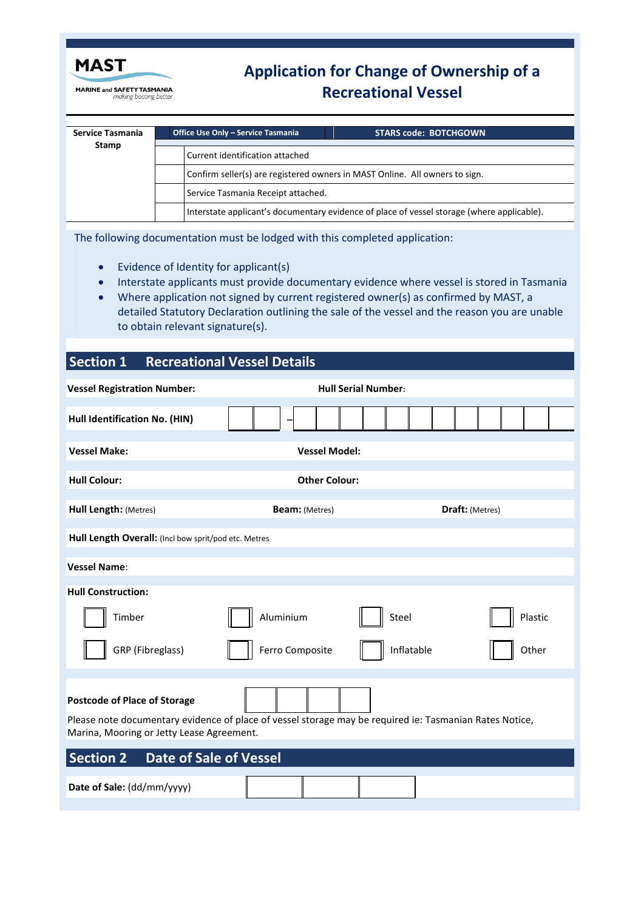

**MARINE and SAFETY TASMANIA**<br>making boating better

# **Application for Change of Ownership of a Recreational Vessel**

| Service Tasmania<br><b>Stamp</b> | Office Use Only - Service Tasmania<br><b>STARS code: BOTCHGOWN</b>                         |  |  |  |
|----------------------------------|--------------------------------------------------------------------------------------------|--|--|--|
|                                  | Current identification attached                                                            |  |  |  |
|                                  | Confirm seller(s) are registered owners in MAST Online. All owners to sign.                |  |  |  |
|                                  | Service Tasmania Receipt attached.                                                         |  |  |  |
|                                  | Interstate applicant's documentary evidence of place of vessel storage (where applicable). |  |  |  |

The following documentation must be lodged with this completed application:

- Evidence of Identity for applicant(s)
- Interstate applicants must provide documentary evidence where vessel is stored in Tasmania
- Where application not signed by current registered owner(s) as confirmed by MAST, a detailed Statutory Declaration outlining the sale of the vessel and the reason you are unable to obtain relevant signature(s).

# **Section 1 Recreational Vessel Details**

| <b>Vessel Registration Number:</b>                                                                                                                                                                                                        | <b>Hull Serial Number:</b>                      |         |  |  |  |  |  |  |  |
|-------------------------------------------------------------------------------------------------------------------------------------------------------------------------------------------------------------------------------------------|-------------------------------------------------|---------|--|--|--|--|--|--|--|
| Hull Identification No. (HIN)                                                                                                                                                                                                             |                                                 |         |  |  |  |  |  |  |  |
| <b>Vessel Make:</b><br><b>Vessel Model:</b>                                                                                                                                                                                               |                                                 |         |  |  |  |  |  |  |  |
| <b>Hull Colour:</b><br><b>Other Colour:</b>                                                                                                                                                                                               |                                                 |         |  |  |  |  |  |  |  |
| Hull Length: (Metres)                                                                                                                                                                                                                     | <b>Draft:</b> (Metres)<br><b>Beam:</b> (Metres) |         |  |  |  |  |  |  |  |
| Hull Length Overall: (Incl bow sprit/pod etc. Metres                                                                                                                                                                                      |                                                 |         |  |  |  |  |  |  |  |
| <b>Vessel Name:</b>                                                                                                                                                                                                                       |                                                 |         |  |  |  |  |  |  |  |
| <b>Hull Construction:</b>                                                                                                                                                                                                                 |                                                 |         |  |  |  |  |  |  |  |
| Timber                                                                                                                                                                                                                                    | Aluminium<br>Steel                              | Plastic |  |  |  |  |  |  |  |
| GRP (Fibreglass)                                                                                                                                                                                                                          | Ferro Composite<br>Inflatable                   | Other   |  |  |  |  |  |  |  |
| <b>Postcode of Place of Storage</b><br>Please note documentary evidence of place of vessel storage may be required ie: Tasmanian Rates Notice,<br>Marina, Mooring or Jetty Lease Agreement.<br>Section 2<br><b>Date of Sale of Vessel</b> |                                                 |         |  |  |  |  |  |  |  |
| Date of Sale: (dd/mm/yyyy)                                                                                                                                                                                                                |                                                 |         |  |  |  |  |  |  |  |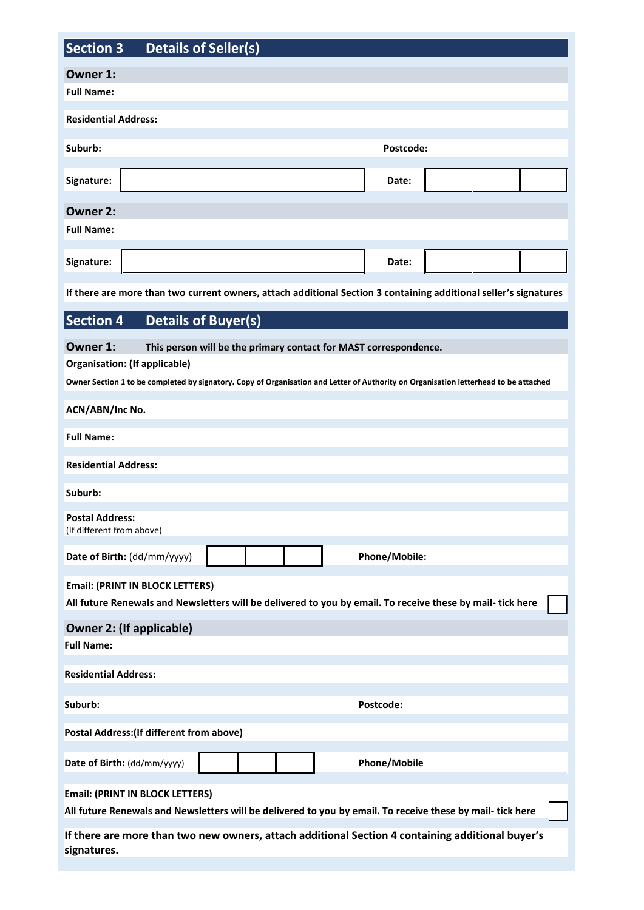| <b>Section 3</b><br><b>Details of Seller(s)</b>                                                                                                                                                                                                       |           |                     |  |  |  |  |  |  |  |
|-------------------------------------------------------------------------------------------------------------------------------------------------------------------------------------------------------------------------------------------------------|-----------|---------------------|--|--|--|--|--|--|--|
| Owner 1:<br><b>Full Name:</b>                                                                                                                                                                                                                         |           |                     |  |  |  |  |  |  |  |
|                                                                                                                                                                                                                                                       |           |                     |  |  |  |  |  |  |  |
| <b>Residential Address:</b>                                                                                                                                                                                                                           |           |                     |  |  |  |  |  |  |  |
| Suburb:                                                                                                                                                                                                                                               | Postcode: |                     |  |  |  |  |  |  |  |
| Signature:                                                                                                                                                                                                                                            |           | Date:               |  |  |  |  |  |  |  |
| <b>Owner 2:</b>                                                                                                                                                                                                                                       |           |                     |  |  |  |  |  |  |  |
| <b>Full Name:</b>                                                                                                                                                                                                                                     |           |                     |  |  |  |  |  |  |  |
| Signature:                                                                                                                                                                                                                                            |           | Date:               |  |  |  |  |  |  |  |
| If there are more than two current owners, attach additional Section 3 containing additional seller's signatures                                                                                                                                      |           |                     |  |  |  |  |  |  |  |
| <b>Section 4</b><br><b>Details of Buyer(s)</b>                                                                                                                                                                                                        |           |                     |  |  |  |  |  |  |  |
| Owner 1:<br>This person will be the primary contact for MAST correspondence.<br>Organisation: (If applicable)<br>Owner Section 1 to be completed by signatory. Copy of Organisation and Letter of Authority on Organisation letterhead to be attached |           |                     |  |  |  |  |  |  |  |
| ACN/ABN/Inc No.                                                                                                                                                                                                                                       |           |                     |  |  |  |  |  |  |  |
| <b>Full Name:</b>                                                                                                                                                                                                                                     |           |                     |  |  |  |  |  |  |  |
| <b>Residential Address:</b>                                                                                                                                                                                                                           |           |                     |  |  |  |  |  |  |  |
| Suburb:                                                                                                                                                                                                                                               |           |                     |  |  |  |  |  |  |  |
| <b>Postal Address:</b><br>(If different from above)                                                                                                                                                                                                   |           |                     |  |  |  |  |  |  |  |
| Date of Birth: (dd/mm/yyyy)                                                                                                                                                                                                                           |           | Phone/Mobile:       |  |  |  |  |  |  |  |
| <b>Email: (PRINT IN BLOCK LETTERS)</b><br>All future Renewals and Newsletters will be delivered to you by email. To receive these by mail- tick here                                                                                                  |           |                     |  |  |  |  |  |  |  |
| <b>Owner 2: (If applicable)</b><br><b>Full Name:</b>                                                                                                                                                                                                  |           |                     |  |  |  |  |  |  |  |
|                                                                                                                                                                                                                                                       |           |                     |  |  |  |  |  |  |  |
| <b>Residential Address:</b>                                                                                                                                                                                                                           |           |                     |  |  |  |  |  |  |  |
| Suburb:                                                                                                                                                                                                                                               |           | Postcode:           |  |  |  |  |  |  |  |
| <b>Postal Address: (If different from above)</b>                                                                                                                                                                                                      |           |                     |  |  |  |  |  |  |  |
| Date of Birth: (dd/mm/yyyy)                                                                                                                                                                                                                           |           | <b>Phone/Mobile</b> |  |  |  |  |  |  |  |
| <b>Email: (PRINT IN BLOCK LETTERS)</b><br>All future Renewals and Newsletters will be delivered to you by email. To receive these by mail- tick here                                                                                                  |           |                     |  |  |  |  |  |  |  |
| If there are more than two new owners, attach additional Section 4 containing additional buyer's<br>signatures.                                                                                                                                       |           |                     |  |  |  |  |  |  |  |